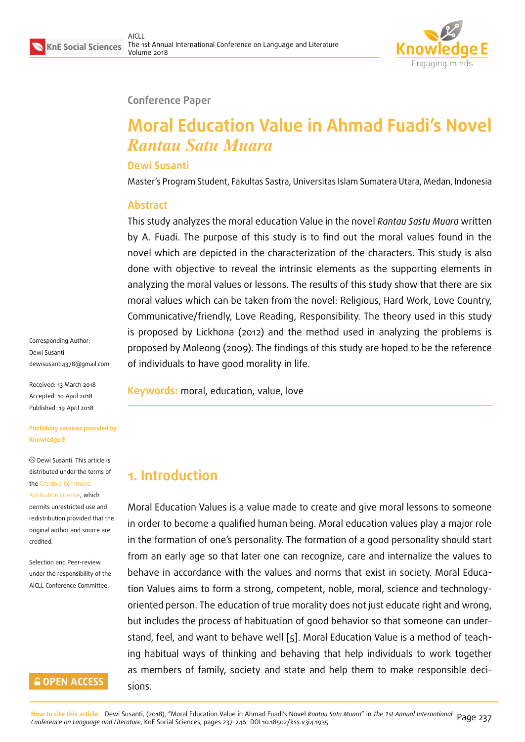

#### **Conference Paper**

# **Moral Education Value in Ahmad Fuadi's Novel** *Rantau Satu Muara*

#### **Dewi Susanti**

Master's Program Student, Fakultas Sastra, Universitas Islam Sumatera Utara, Medan, Indonesia

#### **Abstract**

This study analyzes the moral education Value in the novel *Rantau Sastu Muara* written by A. Fuadi. The purpose of this study is to find out the moral values found in the novel which are depicted in the characterization of the characters. This study is also done with objective to reveal the intrinsic elements as the supporting elements in analyzing the moral values or lessons. The results of this study show that there are six moral values which can be taken from the novel: Religious, Hard Work, Love Country, Communicative/friendly, Love Reading, Responsibility. The theory used in this study is proposed by Lickhona (2012) and the method used in analyzing the problems is proposed by Moleong (2009). The findings of this study are hoped to be the reference of individuals to have good morality in life.

Dewi Susanti dewisusanti4378@gmail.com

Received: 13 March 2018 Accepted: 10 April 2018 [Published: 19 April 2018](mailto:dewisusanti4378@gmail.com)

Corresponding Author:

#### **Publishing services provided by Knowledge E**

Dewi Susanti. This article is distributed under the terms of the Creative Commons Attribution License, which permits unrestricted use and

redistribution provided that the ori[ginal author and sou](https://creativecommons.org/licenses/by/4.0/)rce are [credited.](https://creativecommons.org/licenses/by/4.0/)

Selection and Peer-review under the responsibility of the AICLL Conference Committee.

## **GOPEN ACCESS**

**Keywords:** moral, education, value, love

## **1. Introduction**

Moral Education Values is a value made to create and give moral lessons to someone in order to become a qualified human being. Moral education values play a major role in the formation of one's personality. The formation of a good personality should start from an early age so that later one can recognize, care and internalize the values to behave in accordance with the values and norms that exist in society. Moral Education Values aims to form a strong, competent, noble, moral, science and technologyoriented person. The education of true morality does not just educate right and wrong, but includes the process of habituation of good behavior so that someone can understand, feel, and want to behave well [5]. Moral Education Value is a method of teaching habitual ways of thinking and behaving that help individuals to work together as members of family, society and s[ta](#page-9-0)te and help them to make responsible decisions.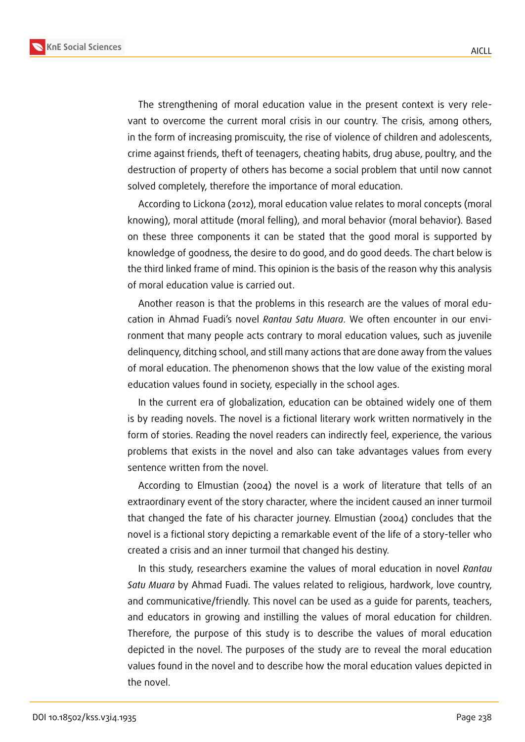**KnE Social Sciences**



The strengthening of moral education value in the present context is very relevant to overcome the current moral crisis in our country. The crisis, among others, in the form of increasing promiscuity, the rise of violence of children and adolescents, crime against friends, theft of teenagers, cheating habits, drug abuse, poultry, and the destruction of property of others has become a social problem that until now cannot solved completely, therefore the importance of moral education.

According to Lickona (2012), moral education value relates to moral concepts (moral knowing), moral attitude (moral felling), and moral behavior (moral behavior). Based on these three components it can be stated that the good moral is supported by knowledge of goodness, the desire to do good, and do good deeds. The chart below is the third linked frame of mind. This opinion is the basis of the reason why this analysis of moral education value is carried out.

Another reason is that the problems in this research are the values of moral education in Ahmad Fuadi's novel *Rantau Satu Muara*. We often encounter in our environment that many people acts contrary to moral education values, such as juvenile delinquency, ditching school, and still many actions that are done away from the values of moral education. The phenomenon shows that the low value of the existing moral education values found in society, especially in the school ages.

In the current era of globalization, education can be obtained widely one of them is by reading novels. The novel is a fictional literary work written normatively in the form of stories. Reading the novel readers can indirectly feel, experience, the various problems that exists in the novel and also can take advantages values from every sentence written from the novel.

According to Elmustian (2004) the novel is a work of literature that tells of an extraordinary event of the story character, where the incident caused an inner turmoil that changed the fate of his character journey. Elmustian (2004) concludes that the novel is a fictional story depicting a remarkable event of the life of a story-teller who created a crisis and an inner turmoil that changed his destiny.

In this study, researchers examine the values of moral education in novel *Rantau Satu Muara* by Ahmad Fuadi. The values related to religious, hardwork, love country, and communicative/friendly. This novel can be used as a guide for parents, teachers, and educators in growing and instilling the values of moral education for children. Therefore, the purpose of this study is to describe the values of moral education depicted in the novel. The purposes of the study are to reveal the moral education values found in the novel and to describe how the moral education values depicted in the novel.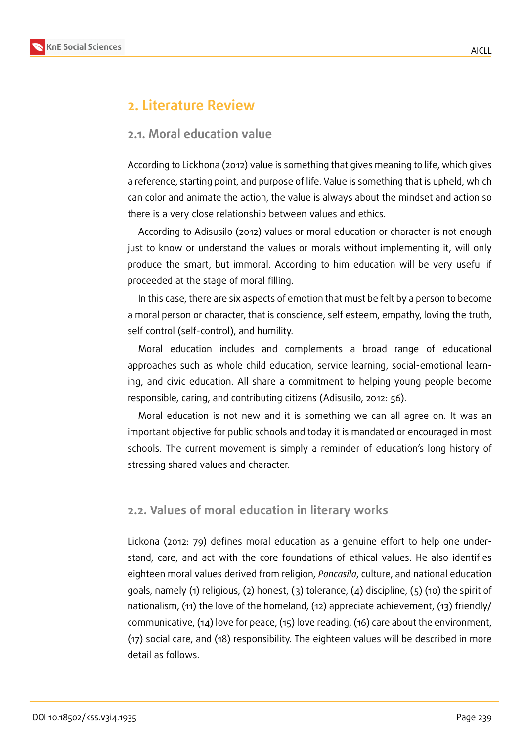

## **2. Literature Review**

### **2.1. Moral education value**

According to Lickhona (2012) value is something that gives meaning to life, which gives a reference, starting point, and purpose of life. Value is something that is upheld, which can color and animate the action, the value is always about the mindset and action so there is a very close relationship between values and ethics.

According to Adisusilo (2012) values or moral education or character is not enough just to know or understand the values or morals without implementing it, will only produce the smart, but immoral. According to him education will be very useful if proceeded at the stage of moral filling.

In this case, there are six aspects of emotion that must be felt by a person to become a moral person or character, that is conscience, self esteem, empathy, loving the truth, self control (self-control), and humility.

Moral education includes and complements a broad range of educational approaches such as whole child education, service learning, social-emotional learning, and civic education. All share a commitment to helping young people become responsible, caring, and contributing citizens (Adisusilo, 2012: 56).

Moral education is not new and it is something we can all agree on. It was an important objective for public schools and today it is mandated or encouraged in most schools. The current movement is simply a reminder of education's long history of stressing shared values and character.

## **2.2. Values of moral education in literary works**

Lickona (2012: 79) defines moral education as a genuine effort to help one understand, care, and act with the core foundations of ethical values. He also identifies eighteen moral values derived from religion, *Pancasila*, culture, and national education goals, namely (1) religious, (2) honest, (3) tolerance, (4) discipline, (5) (10) the spirit of nationalism, (11) the love of the homeland, (12) appreciate achievement, (13) friendly/ communicative, (14) love for peace, (15) love reading, (16) care about the environment, (17) social care, and (18) responsibility. The eighteen values will be described in more detail as follows.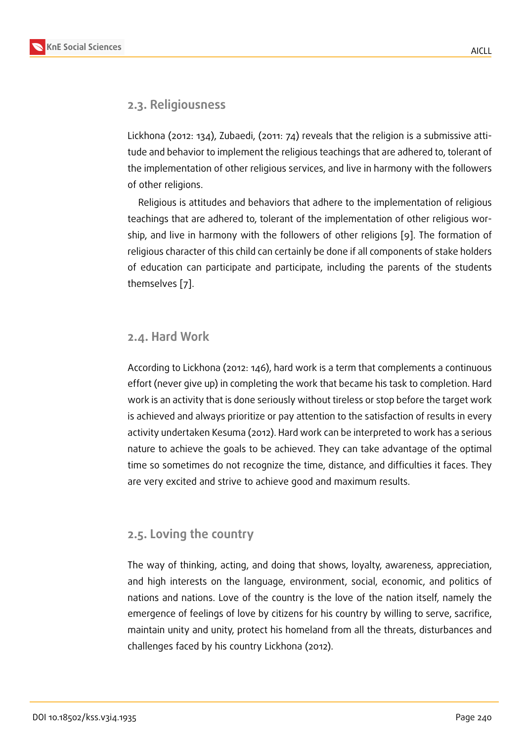## **2.3. Religiousness**

Lickhona (2012: 134), Zubaedi, (2011: 74) reveals that the religion is a submissive attitude and behavior to implement the religious teachings that are adhered to, tolerant of the implementation of other religious services, and live in harmony with the followers of other religions.

Religious is attitudes and behaviors that adhere to the implementation of religious teachings that are adhered to, tolerant of the implementation of other religious worship, and live in harmony with the followers of other religions [9]. The formation of religious character of this child can certainly be done if all components of stake holders of education can participate and participate, including the par[en](#page-9-1)ts of the students themselves [7].

#### **2.4. Hard [W](#page-9-2)ork**

According to Lickhona (2012: 146), hard work is a term that complements a continuous effort (never give up) in completing the work that became his task to completion. Hard work is an activity that is done seriously without tireless or stop before the target work is achieved and always prioritize or pay attention to the satisfaction of results in every activity undertaken Kesuma (2012). Hard work can be interpreted to work has a serious nature to achieve the goals to be achieved. They can take advantage of the optimal time so sometimes do not recognize the time, distance, and difficulties it faces. They are very excited and strive to achieve good and maximum results.

## **2.5. Loving the country**

The way of thinking, acting, and doing that shows, loyalty, awareness, appreciation, and high interests on the language, environment, social, economic, and politics of nations and nations. Love of the country is the love of the nation itself, namely the emergence of feelings of love by citizens for his country by willing to serve, sacrifice, maintain unity and unity, protect his homeland from all the threats, disturbances and challenges faced by his country Lickhona (2012).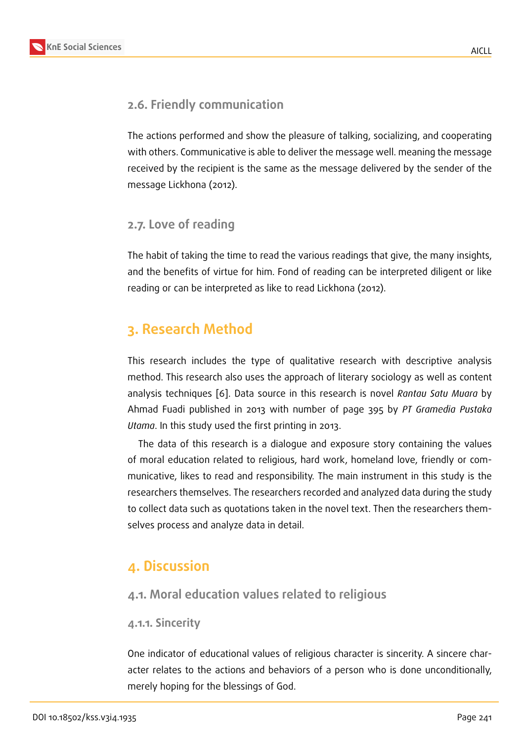## **2.6. Friendly communication**

The actions performed and show the pleasure of talking, socializing, and cooperating with others. Communicative is able to deliver the message well. meaning the message received by the recipient is the same as the message delivered by the sender of the message Lickhona (2012).

## **2.7. Love of reading**

The habit of taking the time to read the various readings that give, the many insights, and the benefits of virtue for him. Fond of reading can be interpreted diligent or like reading or can be interpreted as like to read Lickhona (2012).

## **3. Research Method**

This research includes the type of qualitative research with descriptive analysis method. This research also uses the approach of literary sociology as well as content analysis techniques [6]. Data source in this research is novel *Rantau Satu Muara* by Ahmad Fuadi published in 2013 with number of page 395 by *PT Gramedia Pustaka Utama*. In this study used the first printing in 2013.

The data of this r[ese](#page-9-3)arch is a dialogue and exposure story containing the values of moral education related to religious, hard work, homeland love, friendly or communicative, likes to read and responsibility. The main instrument in this study is the researchers themselves. The researchers recorded and analyzed data during the study to collect data such as quotations taken in the novel text. Then the researchers themselves process and analyze data in detail.

## **4. Discussion**

## **4.1. Moral education values related to religious**

#### **4.1.1. Sincerity**

One indicator of educational values of religious character is sincerity. A sincere character relates to the actions and behaviors of a person who is done unconditionally, merely hoping for the blessings of God.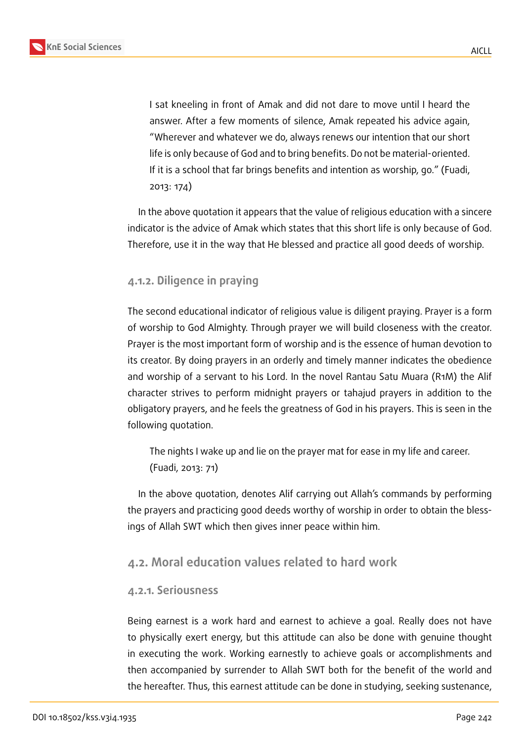

I sat kneeling in front of Amak and did not dare to move until I heard the answer. After a few moments of silence, Amak repeated his advice again, "Wherever and whatever we do, always renews our intention that our short life is only because of God and to bring benefits. Do not be material-oriented. If it is a school that far brings benefits and intention as worship, go." (Fuadi, 2013: 174)

In the above quotation it appears that the value of religious education with a sincere indicator is the advice of Amak which states that this short life is only because of God. Therefore, use it in the way that He blessed and practice all good deeds of worship.

#### **4.1.2. Diligence in praying**

The second educational indicator of religious value is diligent praying. Prayer is a form of worship to God Almighty. Through prayer we will build closeness with the creator. Prayer is the most important form of worship and is the essence of human devotion to its creator. By doing prayers in an orderly and timely manner indicates the obedience and worship of a servant to his Lord. In the novel Rantau Satu Muara (R1M) the Alif character strives to perform midnight prayers or tahajud prayers in addition to the obligatory prayers, and he feels the greatness of God in his prayers. This is seen in the following quotation.

The nights I wake up and lie on the prayer mat for ease in my life and career. (Fuadi, 2013: 71)

In the above quotation, denotes Alif carrying out Allah's commands by performing the prayers and practicing good deeds worthy of worship in order to obtain the blessings of Allah SWT which then gives inner peace within him.

#### **4.2. Moral education values related to hard work**

#### **4.2.1. Seriousness**

Being earnest is a work hard and earnest to achieve a goal. Really does not have to physically exert energy, but this attitude can also be done with genuine thought in executing the work. Working earnestly to achieve goals or accomplishments and then accompanied by surrender to Allah SWT both for the benefit of the world and the hereafter. Thus, this earnest attitude can be done in studying, seeking sustenance,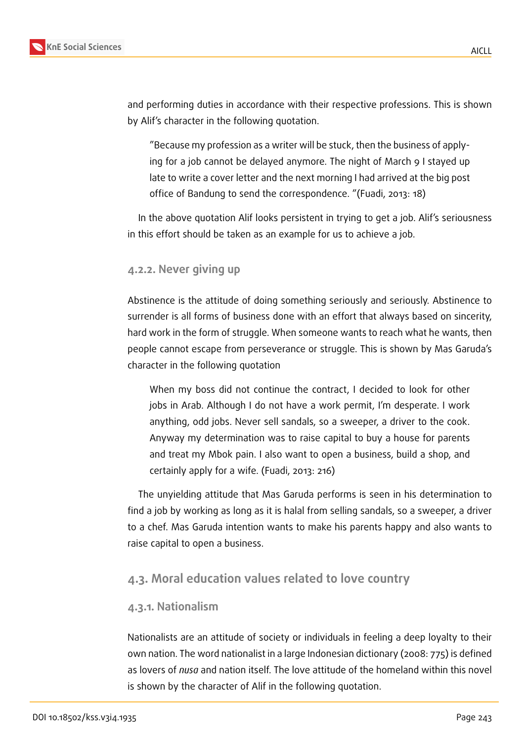

and performing duties in accordance with their respective professions. This is shown by Alif's character in the following quotation.

"Because my profession as a writer will be stuck, then the business of applying for a job cannot be delayed anymore. The night of March 9 I stayed up late to write a cover letter and the next morning I had arrived at the big post office of Bandung to send the correspondence. "(Fuadi, 2013: 18)

In the above quotation Alif looks persistent in trying to get a job. Alif's seriousness in this effort should be taken as an example for us to achieve a job.

#### **4.2.2. Never giving up**

Abstinence is the attitude of doing something seriously and seriously. Abstinence to surrender is all forms of business done with an effort that always based on sincerity, hard work in the form of struggle. When someone wants to reach what he wants, then people cannot escape from perseverance or struggle. This is shown by Mas Garuda's character in the following quotation

When my boss did not continue the contract, I decided to look for other jobs in Arab. Although I do not have a work permit, I'm desperate. I work anything, odd jobs. Never sell sandals, so a sweeper, a driver to the cook. Anyway my determination was to raise capital to buy a house for parents and treat my Mbok pain. I also want to open a business, build a shop, and certainly apply for a wife. (Fuadi, 2013: 216)

The unyielding attitude that Mas Garuda performs is seen in his determination to find a job by working as long as it is halal from selling sandals, so a sweeper, a driver to a chef. Mas Garuda intention wants to make his parents happy and also wants to raise capital to open a business.

#### **4.3. Moral education values related to love country**

#### **4.3.1. Nationalism**

Nationalists are an attitude of society or individuals in feeling a deep loyalty to their own nation. The word nationalist in a large Indonesian dictionary (2008: 775) is defined as lovers of *nusa* and nation itself. The love attitude of the homeland within this novel is shown by the character of Alif in the following quotation.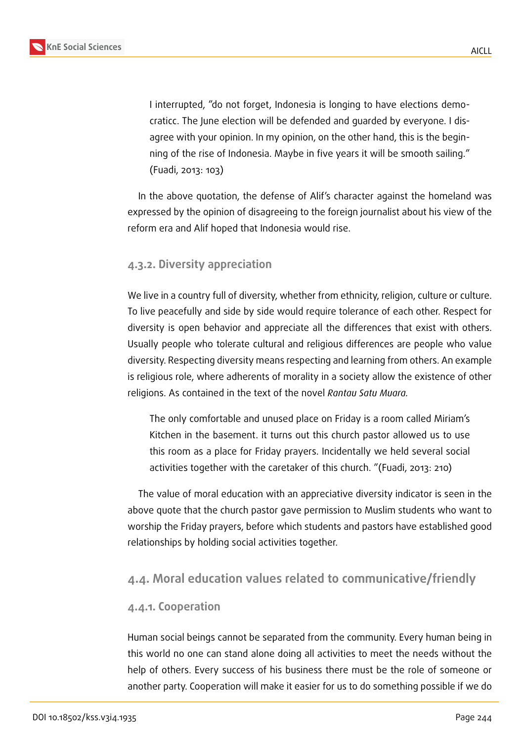

I interrupted, "do not forget, Indonesia is longing to have elections democraticc. The June election will be defended and guarded by everyone. I disagree with your opinion. In my opinion, on the other hand, this is the beginning of the rise of Indonesia. Maybe in five years it will be smooth sailing." (Fuadi, 2013: 103)

In the above quotation, the defense of Alif's character against the homeland was expressed by the opinion of disagreeing to the foreign journalist about his view of the reform era and Alif hoped that Indonesia would rise.

#### **4.3.2. Diversity appreciation**

We live in a country full of diversity, whether from ethnicity, religion, culture or culture. To live peacefully and side by side would require tolerance of each other. Respect for diversity is open behavior and appreciate all the differences that exist with others. Usually people who tolerate cultural and religious differences are people who value diversity. Respecting diversity means respecting and learning from others. An example is religious role, where adherents of morality in a society allow the existence of other religions. As contained in the text of the novel *Rantau Satu Muara.*

The only comfortable and unused place on Friday is a room called Miriam's Kitchen in the basement. it turns out this church pastor allowed us to use this room as a place for Friday prayers. Incidentally we held several social activities together with the caretaker of this church. "(Fuadi, 2013: 210)

The value of moral education with an appreciative diversity indicator is seen in the above quote that the church pastor gave permission to Muslim students who want to worship the Friday prayers, before which students and pastors have established good relationships by holding social activities together.

### **4.4. Moral education values related to communicative/friendly**

#### **4.4.1. Cooperation**

Human social beings cannot be separated from the community. Every human being in this world no one can stand alone doing all activities to meet the needs without the help of others. Every success of his business there must be the role of someone or another party. Cooperation will make it easier for us to do something possible if we do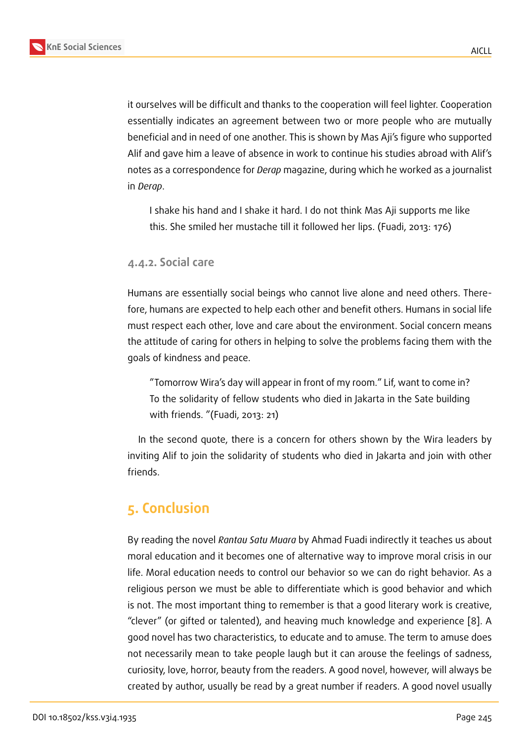it ourselves will be difficult and thanks to the cooperation will feel lighter. Cooperation essentially indicates an agreement between two or more people who are mutually beneficial and in need of one another. This is shown by Mas Aji's figure who supported Alif and gave him a leave of absence in work to continue his studies abroad with Alif's notes as a correspondence for *Derap* magazine, during which he worked as a journalist in *Derap*.

I shake his hand and I shake it hard. I do not think Mas Aji supports me like this. She smiled her mustache till it followed her lips. (Fuadi, 2013: 176)

#### **4.4.2. Social care**

Humans are essentially social beings who cannot live alone and need others. Therefore, humans are expected to help each other and benefit others. Humans in social life must respect each other, love and care about the environment. Social concern means the attitude of caring for others in helping to solve the problems facing them with the goals of kindness and peace.

"Tomorrow Wira's day will appear in front of my room." Lif, want to come in? To the solidarity of fellow students who died in Jakarta in the Sate building with friends. "(Fuadi, 2013: 21)

In the second quote, there is a concern for others shown by the Wira leaders by inviting Alif to join the solidarity of students who died in Jakarta and join with other friends.

## **5. Conclusion**

By reading the novel *Rantau Satu Muara* by Ahmad Fuadi indirectly it teaches us about moral education and it becomes one of alternative way to improve moral crisis in our life. Moral education needs to control our behavior so we can do right behavior. As a religious person we must be able to differentiate which is good behavior and which is not. The most important thing to remember is that a good literary work is creative, "clever" (or gifted or talented), and heaving much knowledge and experience [8]. A good novel has two characteristics, to educate and to amuse. The term to amuse does not necessarily mean to take people laugh but it can arouse the feelings of sadness, curiosity, love, horror, beauty from the readers. A good novel, however, will alwa[ys](#page-9-4) be created by author, usually be read by a great number if readers. A good novel usually